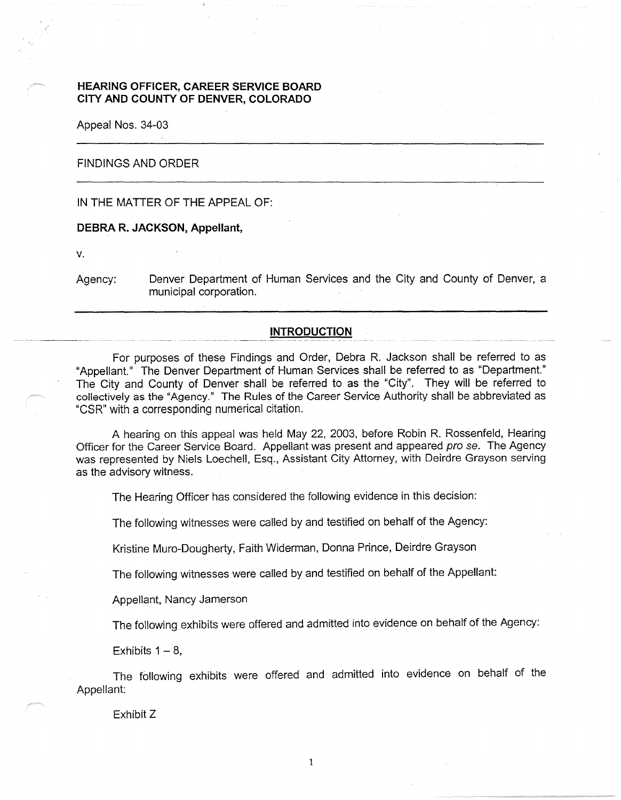# **HEARING OFFICER, CAREER SERVICE BOARD CITY ANO COUNTY OF DENVER, COLORADO**

Appeal Nos. 34-03

## FINDINGS AND ORDER

## IN THE MATTER OF THE APPEAL OF:

#### **DEBRA R. JACKSON, Appellant,**

**V.** 

Agency: Denver Department of Human Services and the City and County of Denver, a municipal corporation.

## **INTRODUCTION**

For purposes of these Findings and Order, Debra R. Jackson shall be referred to as "Appellant." The Denver Department of Human Services shall be referred to as "Department." The City and County of Denver shall be referred to as the "City". They will be referred to collectively as the "Agency." The Rules of the Career Service Authority shall be abbreviated as "CSR" with a corresponding numerical citation.

A hearing on this appeal was held May 22, 2003, before Robin R. Rossenfeld, Hearing Officer for the Career Service Board. Appellant was present and appeared pro se. The Agency was represented by Niels Loechell, Esq., Assistant City Attorney, with Deirdre Grayson serving as the advisory witness.

The Hearing Officer has considered the following evidence in this decision:

The following witnesses were called by and testified on behalf of the Agency:

Kristine Muro-Dougherty, Faith Widerman, Donna Prince, Deirdre Grayson

The following witnesses were called by and testified on behalf of the Appellant:

Appellant, Nancy Jamerson

The following exhibits were offered and admitted into evidence on behalf of the Agency:

Exhibits  $1 - 8$ ,

The following exhibits were offered and admitted into evidence on behalf of the Appellant:

Exhibit Z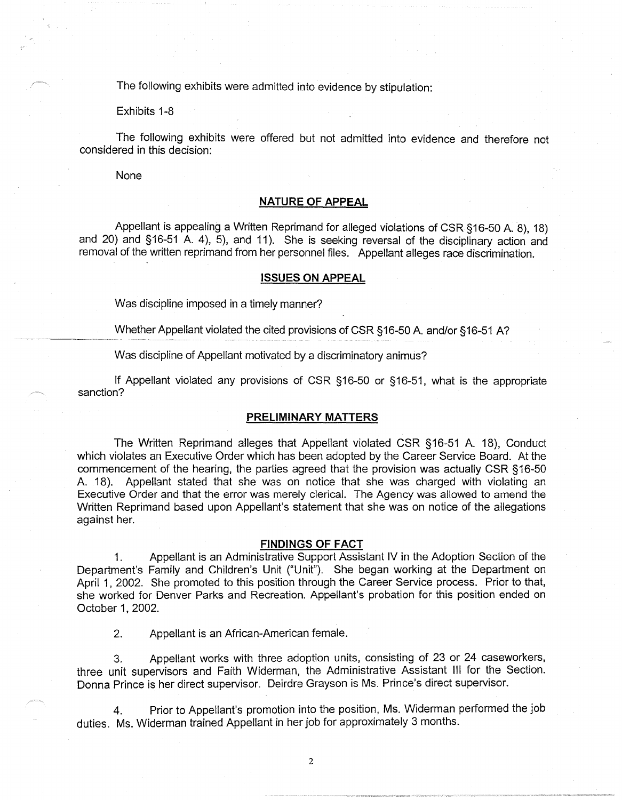The following exhibits were admitted into evidence by stipulation:

Exhibits 1-8

The following exhibits were offered but not admitted into evidence and therefore not considered in this decision:

None

## **NATURE OF APPEAL**

Appellant is appealing a Written Reprimand for alleged violations of CSR §16-50 A. 8), 18) and 20) and §16-51 A. 4), 5), and 11). She is seeking reversal of the disciplinary action and removal of the written reprimand from her personnel files. Appellant alleges race discrimination.

## **ISSUES ON APPEAL**

Was discipline imposed in a timely manner?

Whether Appellant violated the cited provisions of CSR §16-50 A. and/or §16-51 A?

Was discipline of Appellant motivated by a discriminatory animus?

If Appellant violated any provisions of CSR §16-50 or §16-51, what is the appropriate sanction?

### **PRELIMINARY MATTERS**

The Written Reprimand alleges that Appellant violated CSR §16-51 A. 18), Conduct which violates an Executive Order which has been adopted by the Career Service Board. At the commencement of the hearing, the parties agreed that the provision was actually CSR §16-50 A. 18). Appellant stated that she was on notice that she was charged with violating an Executive Order and that the error was merely clerical. The Agency was allowed to amend the Written Reprimand based upon Appellant's statement that she was on notice of the allegations against her.

#### **FINDINGS OF FACT**

1. Appellant is an Administrative Support Assistant IV in the Adoption Section of the Department's Family and Children's Unit ("Unit"). She began working at the Department on April 1, 2002. She promoted to this position through the Career Service process. Prior to that, she worked for Denver Parks and Recreation. Appellant's probation for this position ended on October 1, 2002.

2. Appellant is an African-American female.

3. Appellant works with three adoption units, consisting of 23 or 24 caseworkers, three unit supervisors and Faith Widerman, the Administrative Assistant Ill for the Section. Donna Prince is her direct supervisor. Deirdre Grayson is Ms. Prince's direct supervisor.

4. Prior to Appellant's promotion into the position, Ms. Widerman performed the job duties. Ms. Widerman trained Appellant in her job for approximately 3 months.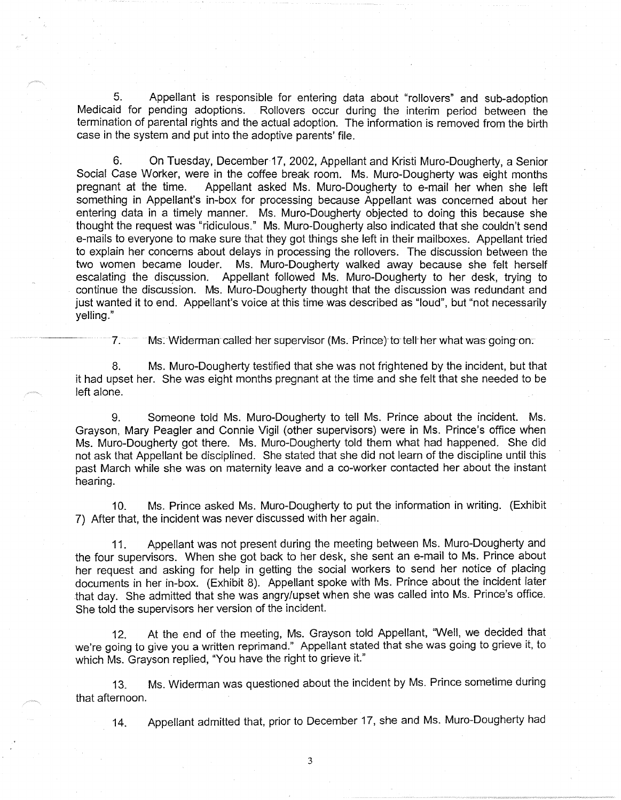5. Appellant is responsible for entering data about "rollovers" and sub-adoption Medicaid for pending adoptions. Rollovers occur during the interim period between the termination of parental rights and the actual adoption. The information is removed from the birth case in the system and put into the adoptive parents' file.

6. On Tuesday, December 17, 2002, Appellant and Kristi Muro-Dougherty, a Senior Social Case Worker, were in the coffee break room. Ms. Muro-Dougherty was eight months pregnant at the time. Appellant asked Ms. Muro-Dougherty to e-mail her when she left something in Appellant's in-box for processing because Appellant was concerned about her entering data in a timely manner. Ms. Muro-Dougherty objected to doing this because she thought the request was "ridiculous." Ms. Muro-Dougherty also indicated that she couldn't send e-mails to everyone to make sure that they got things she left in their mailboxes. Appellant tried to explain her concerns about delays in processing the rollovers. The discussion between the two women became louder. Ms. Muro-Dougherty walked away because she felt herself escalating the discussion. Appellant followed Ms. Muro-Dougherty to her desk, trying to continue the discussion. Ms. Muro-Dougherty thought that the discussion was redundant and just wanted it to end. Appellant's voice at this time was described as "loud", but "not necessarily yelling."

 $7.$  Ms. Widerman called her supervisor (Ms. Prince) to tell her what was going on:

8. Ms. Muro-Dougherty testified that she was not frightened by the incident, but that it had upset her. She was eight months pregnant at the time and she felt that she needed to be left alone.

9. Someone told Ms. Muro-Dougherty to tell Ms. Prince about the incident. Ms. Grayson, Mary Peagler and Connie Vigil (other supervisors) were in Ms. Prince's office when Ms. Muro-Dougherty got there. Ms. Muro-Dougherty told them what had happened. She did not ask that Appellant be disciplined. She stated that she did not learn of the discipline until this past March while she was on maternity leave and a co-worker contacted her about the instant hearing.

10. Ms. Prince asked Ms. Muro-Dougherty to put the information in writing. (Exhibit 7) After that, the incident was never discussed with her again.

11. Appellant was not present during the meeting between Ms. Muro-Dougherty and the four supervisors. When she got back to her desk, she sent an e-mail to Ms. Prince about her request and asking for help in getting the social workers to send her notice of placing documents in her in-box. (Exhibit 8). Appellant spoke with Ms. Prince about the incident iater that day. She admitted that she was angry/upset when she was called into Ms. Prince's office. She told the supervisors her version of the incident.

12. At the end of the meeting, Ms. Grayson told Appellant, "Well, we decided that we're going to give you a written reprimand." Appellant stated that she was going to grieve it, to which Ms. Grayson replied, "You have the right to grieve it."

13. Ms. Widerman was questioned about the incident by Ms. Prince sometime during that afternoon.

14. Appellant admitted that, prior to December 17, she and Ms. Muro-Dougherty had

3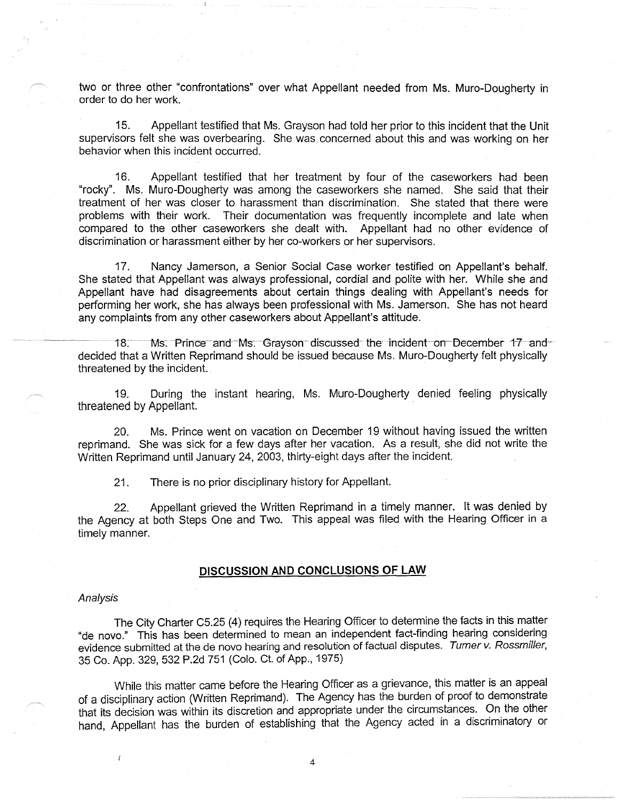two or three other "confrontations" over what Appellant needed from Ms. Muro-Dougherty in order to do her work.

15. Appellant testified that Ms. Grayson had told her prior to this incident that the Unit supervisors felt she was overbearing. She was. concerned about this and was working on her behavior when this incident occurred.

16. Appellant testified that her treatment by four of the caseworkers had been "rocky". Ms. Muro-Dougherty was among the caseworkers she named. She said that their treatment of her was closer to harassment than discrimination. She stated that there were problems with their work. Their documentation was frequently incomplete and late when compared to the other caseworkers she dealt with. Appellant had no other evidence of discrimination or harassment either by her co-workers or her supervisors.

17. Nancy Jamerson, a Senior Social Case worker testified on Appellant's behalf. She stated that Appellant was always professional, cordial and polite with her. While she and Appellant have had disagreements about certain things dealing with Appellant's needs for performing her work, she has always been professional with Ms. Jamerson. She has not heard any complaints from any other caseworkers about Appellant's attitude.

18: Ms. Prince and Ms. Grayson discussed the incident on December 17 and decided that a Written Reprimand should be issued because Ms. Muro-Dougherty felt physically threatened by the incident.

19. During the instant hearing, Ms. Muro-Dougherty denied feeling physically threatened by Appellant.

20. Ms. Prince went on vacation on December 19 without having issued the written reprimand. She was sick for a few days after her vacation. As a result, she did not write the Written Reprimand until January 24, 2003, thirty-eight days after the incident.

21. There is no prior disciplinary history for Appellant.

22. Appellant grieved the Written Reprimand in a timely manner. It was denied by the Agency at both Steps One and Two. This appeal was filed with the Hearing Officer in a timely manner.

## **DISCUSSION AND CONCLUSIONS OF LAW**

#### Analysis

 $\overline{t}$ 

The City Charter C5.25 (4) requires the Hearing Officer to determine the facts in this matter "de nova." This has been determined to mean an independent fact-finding hearing considering evidence submitted at the de novo hearing and resolution of factual disputes. Turner v. Rossmiller, 35 Co. App. 329, 532 P.2d 751 (Colo. Ct. of App., 1975)

While this matter came before the Hearing Officer as a grievance, this matter is an appeal of a disciplinary action (Written Reprimand). The Agency has the burden of proof to demonstrate that its decision was within its discretion and appropriate under the circumstances. On the other hand, Appellant has the burden of establishing that the Agency acted in a discriminatory or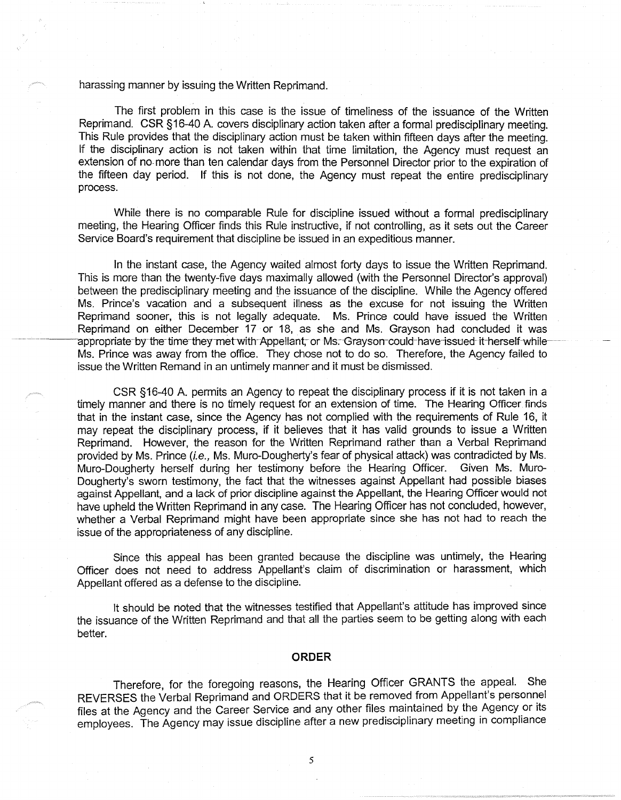harassing manner by issuing the Written Reprimand.

The first problem in this case is the issue of timeliness of the issuance of the Written Reprimand. CSR §16-40 A. covers disciplinary action taken after a formal predisciplinary meeting. This Rule provides that the disciplinary action must be taken within fifteen days after the meeting. If the disciplinary action is not taken within that time limitation, the Agency must request an extension of no- more than ten calendar days from the Personnel Director prior to the expiration of the fifteen day period. If this is not done, the Agency must repeat the entire predisciplinary process.

While there is no comparable Rule for discipline issued without a formal predisciplinary meeting, the Hearing Officer finds this Rule instructive, if not controlling, as it sets out the Career Service Board's requirement that discipline be issued in an expeditious manner.

In the instant case, the Agency waited almost forty days to issue the Written Reprimand. This is more than the twenty-five days maximally allowed (with the Personnel Director's approval) between the predisciplinary meeting and the issuance of the discipline. While the Agency offered Ms. Prince's vacation and a subsequent illness as the excuse for not issuing the Written Reprimand sooner, this is not legally adequate. Ms. Prince could have issued the Written Reprimand on either December 17 or 18, as she and Ms. Grayson had concluded it was appropriate-by the time-they-met-with-Appellant, or Ms. Grayson-could-have-issued-it-herself-while-Ms. Prince was away from the office. They chose not to do so. Therefore, the Agency failed to issue the Written Remand in an untimely manner and it must be dismissed.

CSR § 16-40 A. permits an Agency to repeat the disciplinary process if it is not taken in a timely manner and there is no timely request for an extension of time. The Hearing Officer finds that in the instant case, since the Agency has not complied with the requirements of Rule 16, it may repeat the disciplinary process, if it believes that it has valid grounds to issue a Written Reprimand. However, the reason for the Written Reprimand rather than a Verbal Reprimand provided by Ms. Prince (i.e., Ms. Muro-Dougherty's fear of physical attack) was contradicted by Ms. Muro-Dougherty herself during her testimony before the Hearing Officer. Given Ms. Muro-Dougherty's sworn testimony, the fact that the witnesses against Appellant had possible biases against Appellant, and a lack of prior discipline against the Appellant, the Hearing Officer would not have upheld the Written Reprimand in any case. The Hearing Officer has not concluded, however, whether a Verbal Reprimand might have been appropriate since she has not had to reach the issue of the appropriateness of any discipline.

Since this appeal has been granted because the discipline was untimely, the Hearing Officer does not need to address Appellant's claim of discrimination or harassment, which Appellant offered as a defense to the discipline.

It should be noted that the witnesses testified that Appellant's attitude has improved since the issuance of the Written Reprimand and that all the parties seem to be getting along with each better.

#### **ORDER**

Therefore, for the foregoing reasons, the Hearing Officer GRANTS the appeal. She REVERSES the Verbal Reprimand and ORDERS that it be removed from Appellant's personnel files at the Agency and the Career Service and any other files maintained by the Agency or its employees. The Agency may issue discipline after a new predisciplinary meeting in compliance

5